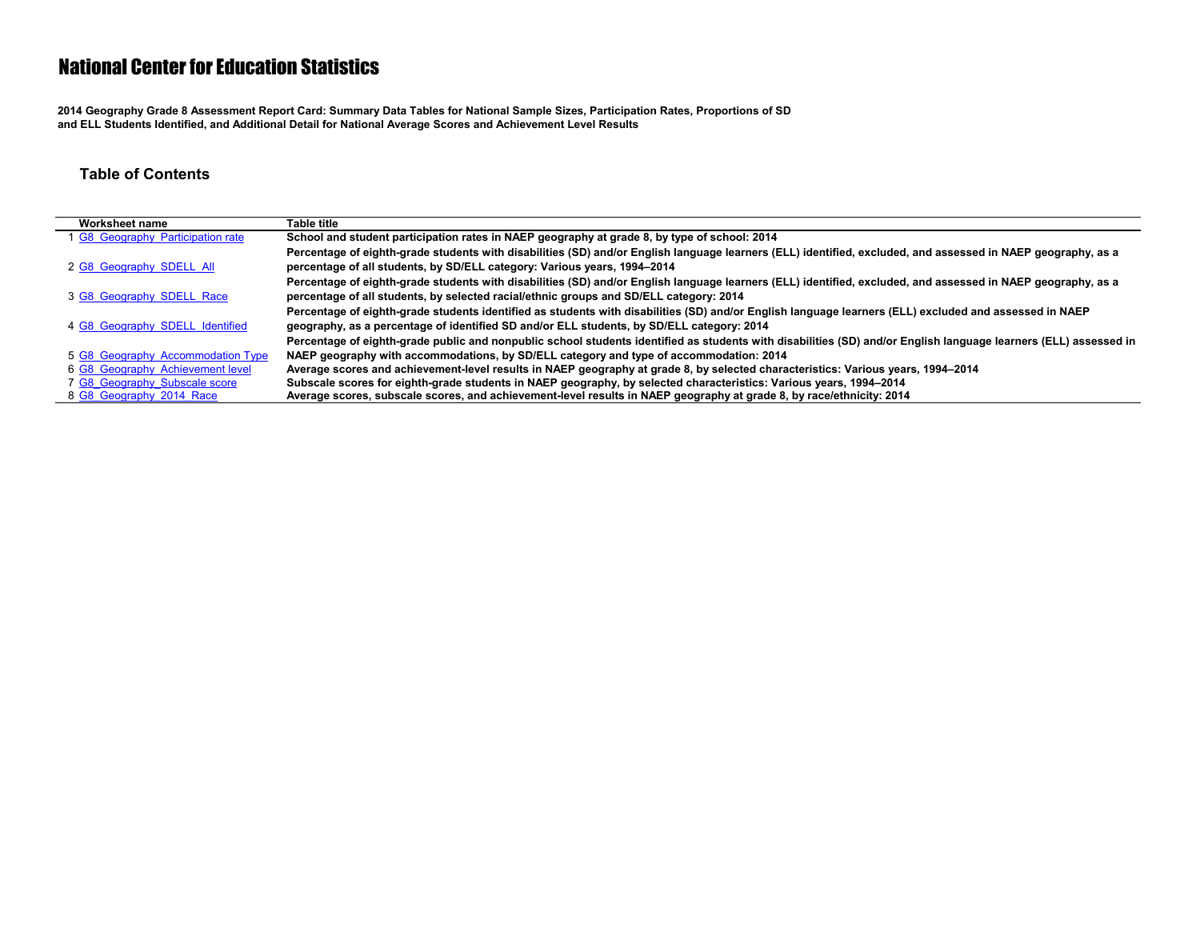**2014 Geography Grade 8 Assessment Report Card: Summary Data Tables for National Sample Sizes, Participation Rates, Proportions of SD and ELL Students Identified, and Additional Detail for National Average Scores and Achievement Level Results**

#### **Table of Contents**

| Worksheet name                    | Table title                                                                                                                                                      |
|-----------------------------------|------------------------------------------------------------------------------------------------------------------------------------------------------------------|
| 1 G8 Geography Participation rate | School and student participation rates in NAEP geography at grade 8, by type of school: 2014                                                                     |
|                                   | Percentage of eighth-grade students with disabilities (SD) and/or English language learners (ELL) identified, excluded, and assessed in NAEP geography, as a     |
| 2 G8 Geography SDELL All          | percentage of all students, by SD/ELL category: Various years, 1994-2014                                                                                         |
|                                   | Percentage of eighth-grade students with disabilities (SD) and/or English language learners (ELL) identified, excluded, and assessed in NAEP geography, as a     |
| 3 G8 Geography SDELL Race         | percentage of all students, by selected racial/ethnic groups and SD/ELL category: 2014                                                                           |
|                                   | Percentage of eighth-grade students identified as students with disabilities (SD) and/or English language learners (ELL) excluded and assessed in NAEP           |
| 4 G8 Geography SDELL Identified   | geography, as a percentage of identified SD and/or ELL students, by SD/ELL category: 2014                                                                        |
|                                   | Percentage of eighth-grade public and nonpublic school students identified as students with disabilities (SD) and/or English language learners (ELL) assessed in |
| 5 G8 Geography Accommodation Type | NAEP geography with accommodations, by SD/ELL category and type of accommodation: 2014                                                                           |
| 6 G8 Geography Achievement level  | Average scores and achievement-level results in NAEP geography at grade 8, by selected characteristics: Various years, 1994–2014                                 |
| 7 G8 Geography Subscale score     | Subscale scores for eighth-grade students in NAEP geography, by selected characteristics: Various years, 1994-2014                                               |
| 8 G8 Geography 2014 Race          | Average scores, subscale scores, and achievement-level results in NAEP geography at grade 8, by race/ethnicity: 2014                                             |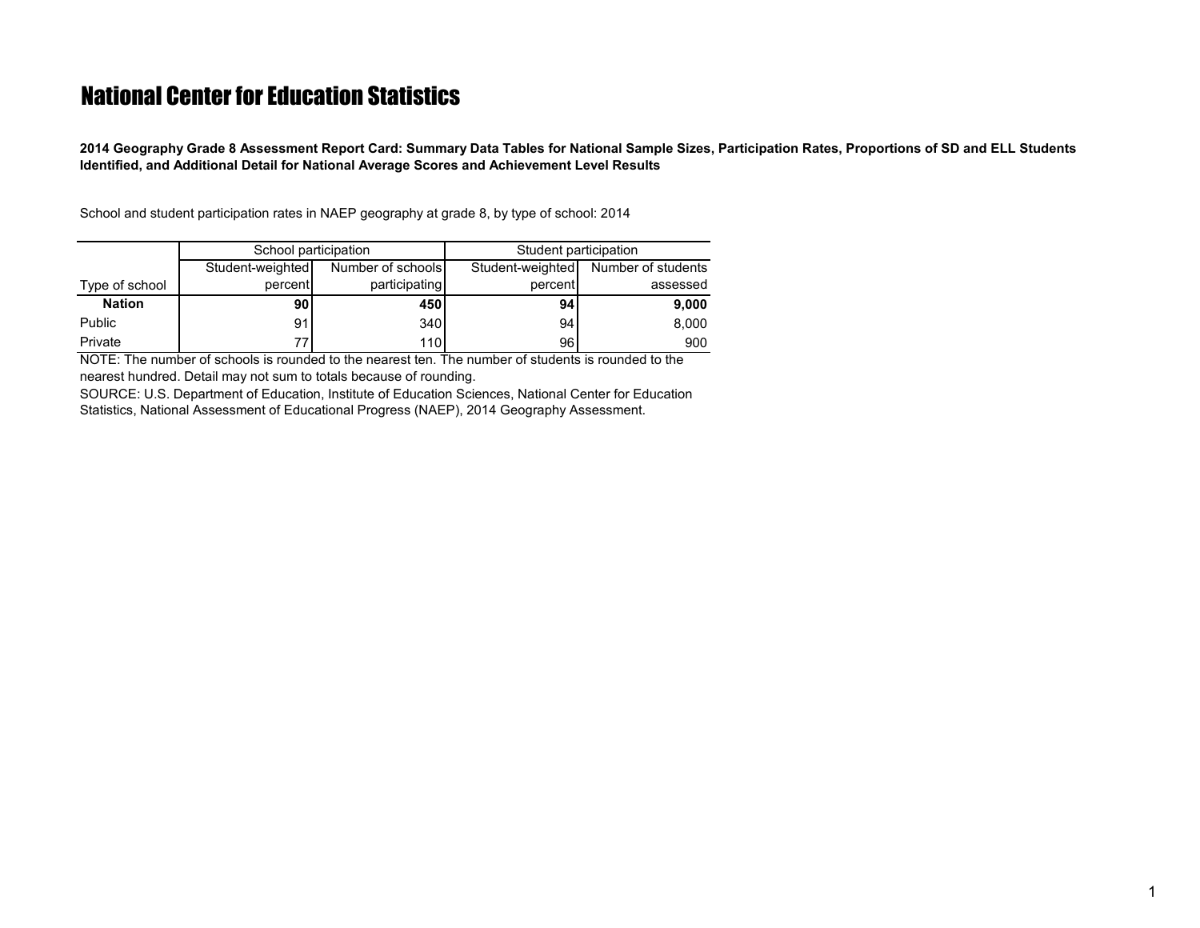<span id="page-1-0"></span>**2014 Geography Grade 8 Assessment Report Card: Summary Data Tables for National Sample Sizes, Participation Rates, Proportions of SD and ELL Students Identified, and Additional Detail for National Average Scores and Achievement Level Results**

School and student participation rates in NAEP geography at grade 8, by type of school: 2014

|                | School participation |                   | Student participation |                    |  |  |  |
|----------------|----------------------|-------------------|-----------------------|--------------------|--|--|--|
|                | Student-weighted     | Number of schools | Student-weighted      | Number of students |  |  |  |
| Type of school | percent              | participating     | percent               | assessed           |  |  |  |
| <b>Nation</b>  | 90                   | 450 l             | 94                    | 9,000              |  |  |  |
| <b>Public</b>  | 91                   | 340 <sup>1</sup>  | 94                    | 8,000              |  |  |  |
| Private        | 77                   | 110 <sup>1</sup>  | 96                    | 900                |  |  |  |

NOTE: The number of schools is rounded to the nearest ten. The number of students is rounded to the nearest hundred. Detail may not sum to totals because of rounding.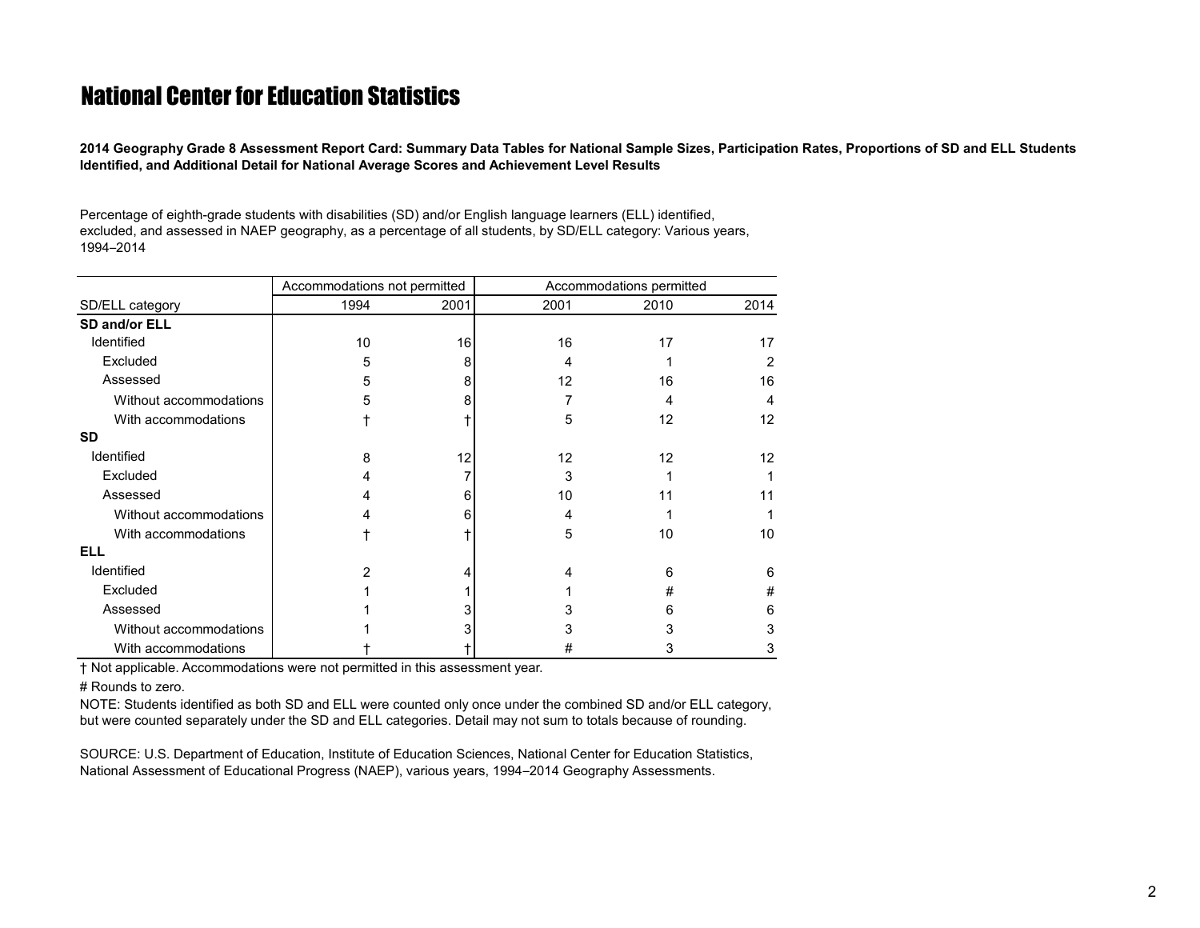<span id="page-2-0"></span>**2014 Geography Grade 8 Assessment Report Card: Summary Data Tables for National Sample Sizes, Participation Rates, Proportions of SD and ELL Students Identified, and Additional Detail for National Average Scores and Achievement Level Results**

Percentage of eighth-grade students with disabilities (SD) and/or English language learners (ELL) identified, excluded, and assessed in NAEP geography, as a percentage of all students, by SD/ELL category: Various years, 1994–2014

|                        | Accommodations not permitted |      | Accommodations permitted |      |                   |  |  |
|------------------------|------------------------------|------|--------------------------|------|-------------------|--|--|
| SD/ELL category        | 1994                         | 2001 | 2001                     | 2010 | 2014              |  |  |
| SD and/or ELL          |                              |      |                          |      |                   |  |  |
| Identified             | 10                           | 16   | 16                       | 17   | 17                |  |  |
| Excluded               | 5                            | 8    | 4                        |      | 2                 |  |  |
| Assessed               | 5                            | 8    | 12                       | 16   | 16                |  |  |
| Without accommodations | 5                            | 8    | 7                        | 4    | 4                 |  |  |
| With accommodations    |                              |      | 5                        | 12   | $12 \overline{ }$ |  |  |
| <b>SD</b>              |                              |      |                          |      |                   |  |  |
| Identified             | 8                            | 12   | $12 \overline{ }$        | 12   | 12                |  |  |
| Excluded               |                              |      | 3                        |      |                   |  |  |
| Assessed               |                              | 6    | 10                       | 11   |                   |  |  |
| Without accommodations |                              | 6    | 4                        |      |                   |  |  |
| With accommodations    |                              |      | 5                        | 10   | 10                |  |  |
| <b>ELL</b>             |                              |      |                          |      |                   |  |  |
| Identified             |                              |      |                          | 6    | 6                 |  |  |
| Excluded               |                              |      |                          | #    | #                 |  |  |
| Assessed               |                              |      | 3                        | 6    | 6                 |  |  |
| Without accommodations |                              |      | 3                        |      | 3                 |  |  |
| With accommodations    |                              |      | #                        |      | 3                 |  |  |

† Not applicable. Accommodations were not permitted in this assessment year.

# Rounds to zero.

NOTE: Students identified as both SD and ELL were counted only once under the combined SD and/or ELL category, but were counted separately under the SD and ELL categories. Detail may not sum to totals because of rounding.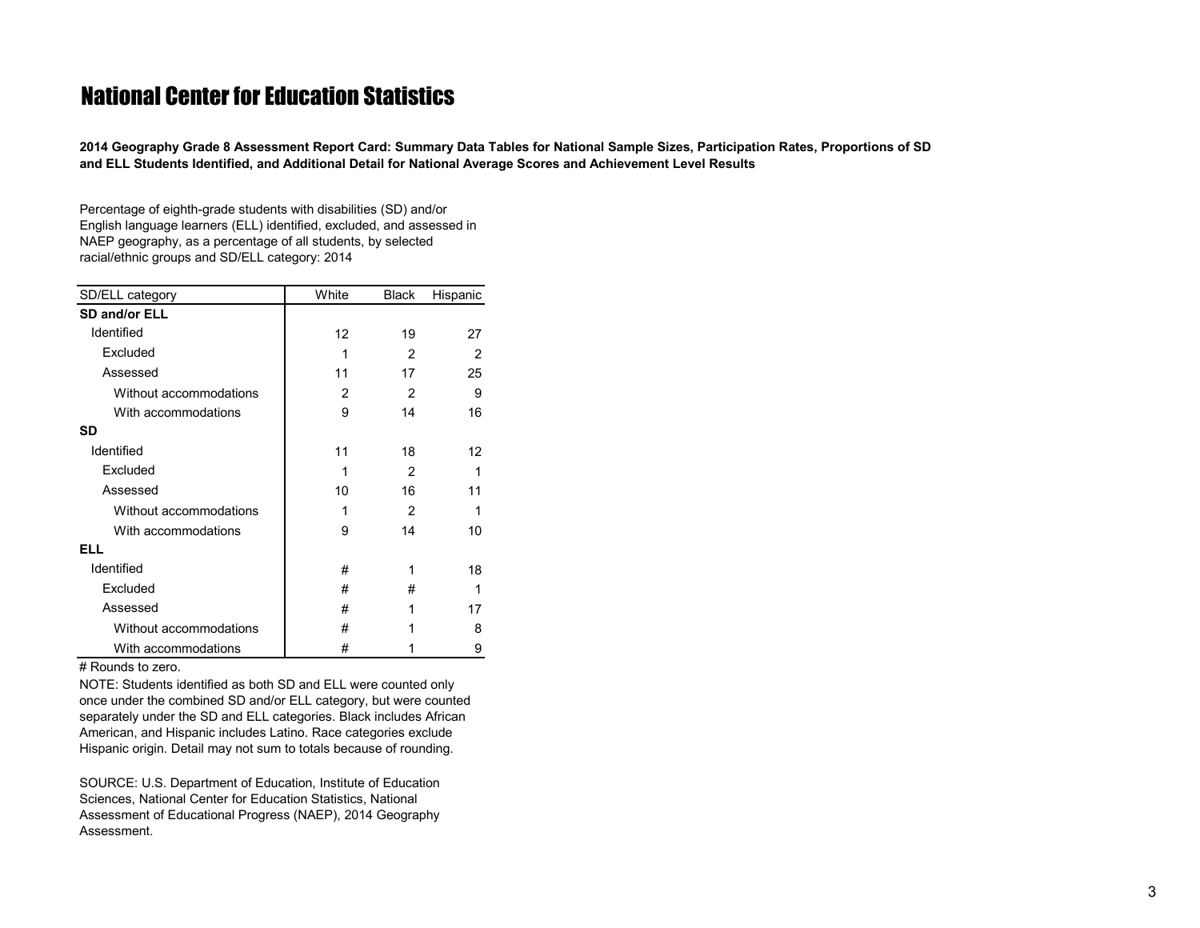<span id="page-3-0"></span>**2014 Geography Grade 8 Assessment Report Card: Summary Data Tables for National Sample Sizes, Participation Rates, Proportions of SD and ELL Students Identified, and Additional Detail for National Average Scores and Achievement Level Results**

Percentage of eighth-grade students with disabilities (SD) and/or English language learners (ELL) identified, excluded, and assessed in NAEP geography, as a percentage of all students, by selected racial/ethnic groups and SD/ELL category: 2014

| SD/ELL category        | White          | <b>Black</b>   | Hispanic |
|------------------------|----------------|----------------|----------|
| SD and/or ELL          |                |                |          |
| Identified             | 12             | 19             | 27       |
| Excluded               | 1              | $\mathfrak{p}$ | 2        |
| Assessed               | 11             | 17             | 25       |
| Without accommodations | $\mathfrak{p}$ | $\mathfrak{p}$ | 9        |
| With accommodations    | 9              | 14             | 16       |
| <b>SD</b>              |                |                |          |
| Identified             | 11             | 18             | 12       |
| Excluded               | 1              | $\mathfrak{p}$ | 1        |
| Assessed               | 10             | 16             | 11       |
| Without accommodations | 1              | $\mathfrak{p}$ | 1        |
| With accommodations    | 9              | 14             | 10       |
| ELL                    |                |                |          |
| Identified             | #              | 1              | 18       |
| Excluded               | #              | #              | 1        |
| Assessed               | #              | 1              | 17       |
| Without accommodations | #              |                | 8        |
| With accommodations    | #              | 1              | 9        |

# Rounds to zero.

NOTE: Students identified as both SD and ELL were counted only once under the combined SD and/or ELL category, but were counted separately under the SD and ELL categories. Black includes African American, and Hispanic includes Latino. Race categories exclude Hispanic origin. Detail may not sum to totals because of rounding.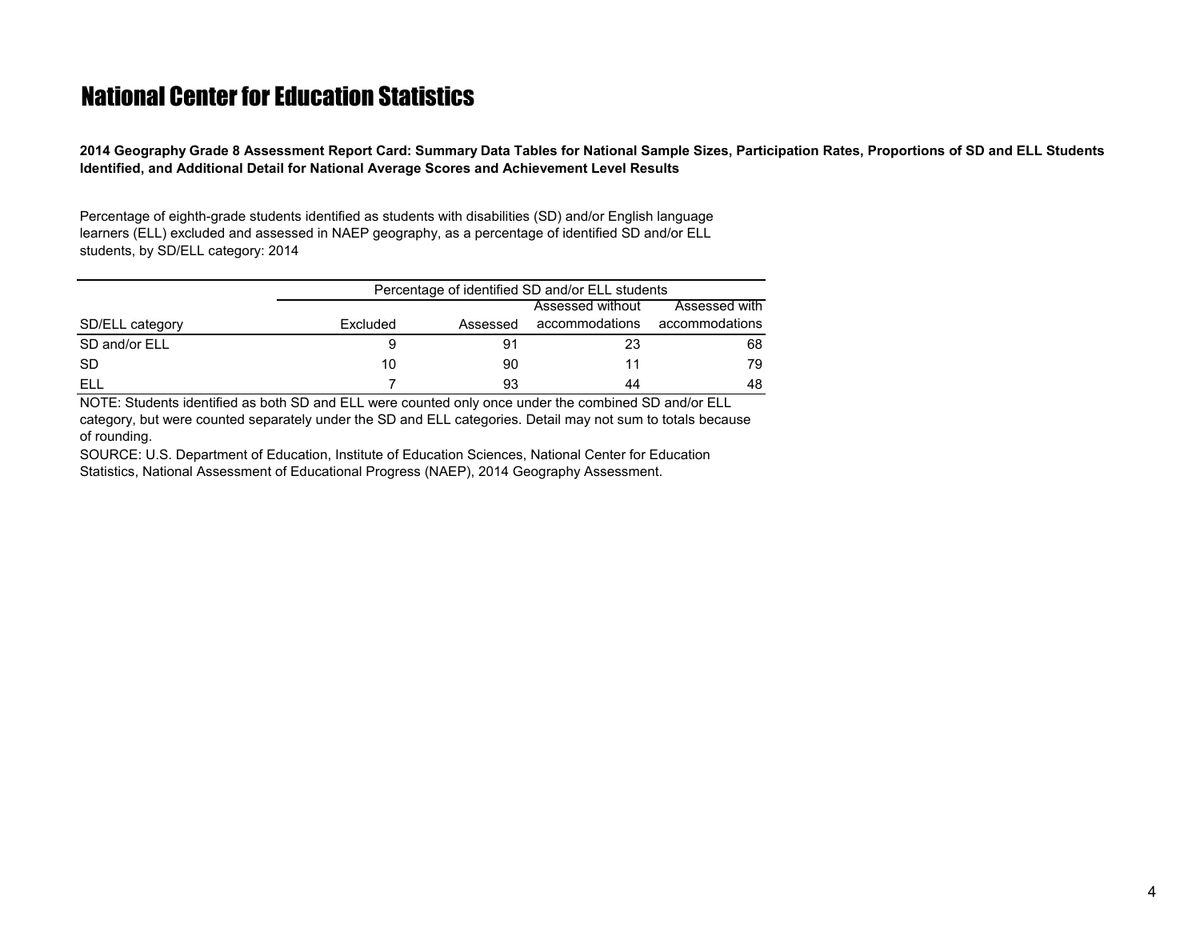<span id="page-4-0"></span>**2014 Geography Grade 8 Assessment Report Card: Summary Data Tables for National Sample Sizes, Participation Rates, Proportions of SD and ELL Students Identified, and Additional Detail for National Average Scores and Achievement Level Results**

Percentage of eighth-grade students identified as students with disabilities (SD) and/or English language learners (ELL) excluded and assessed in NAEP geography, as a percentage of identified SD and/or ELL students, by SD/ELL category: 2014

|                 | Percentage of identified SD and/or ELL students |          |                  |                |  |  |  |  |  |  |
|-----------------|-------------------------------------------------|----------|------------------|----------------|--|--|--|--|--|--|
|                 |                                                 |          | Assessed without | Assessed with  |  |  |  |  |  |  |
| SD/ELL category | Excluded                                        | Assessed | accommodations   | accommodations |  |  |  |  |  |  |
| SD and/or ELL   |                                                 | 91       | 23               | 68             |  |  |  |  |  |  |
| <b>SD</b>       | 10                                              | 90       | 11               | 79             |  |  |  |  |  |  |
| ELL             |                                                 | 93       | 44               | 48             |  |  |  |  |  |  |

NOTE: Students identified as both SD and ELL were counted only once under the combined SD and/or ELL category, but were counted separately under the SD and ELL categories. Detail may not sum to totals because of rounding.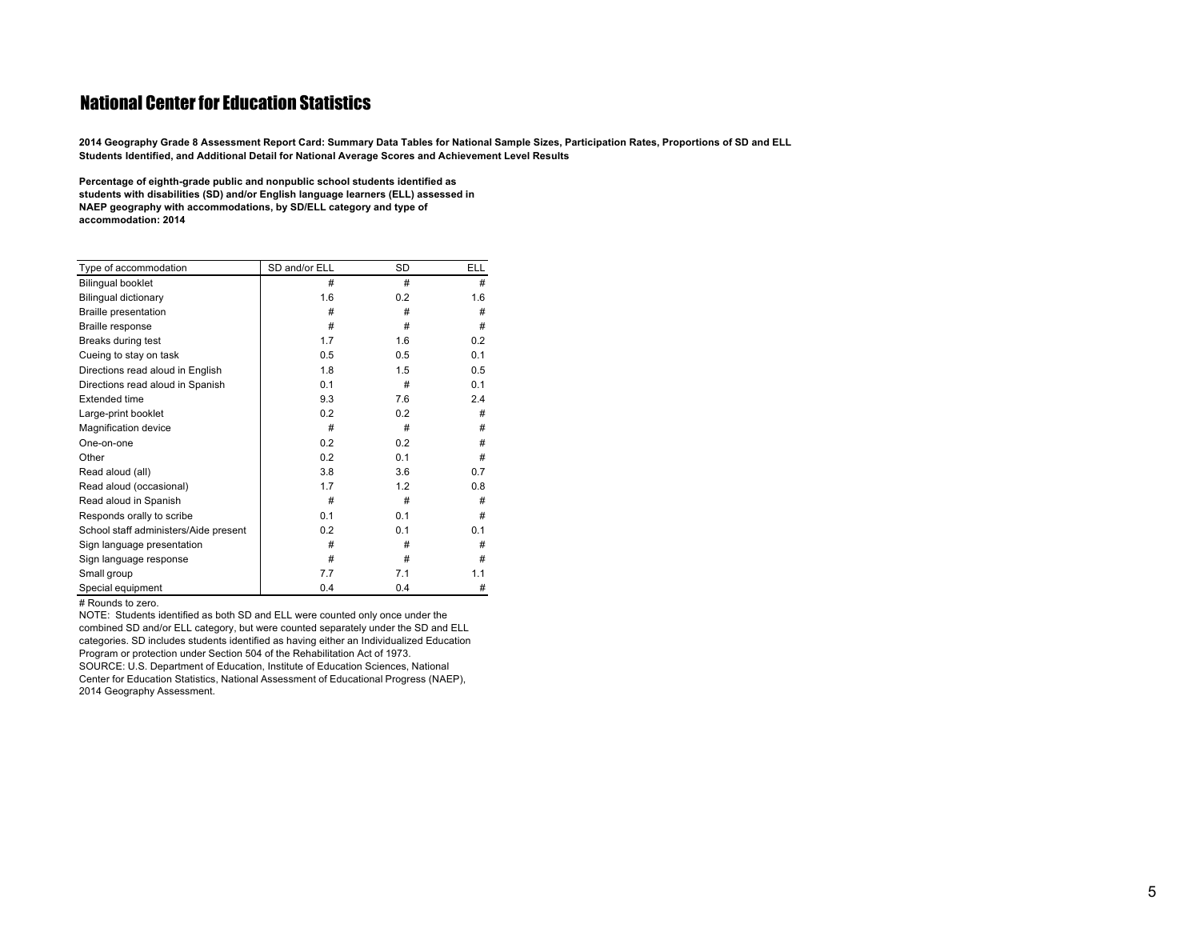<span id="page-5-0"></span>2014 Geography Grade 8 Assessment Report Card: Summary Data Tables for National Sample Sizes, Participation Rates, Proportions of SD and ELL **Students Identified, and Additional Detail for National Average Scores and Achievement Level Results**

**Percentage of eighth-grade public and nonpublic school students identified as students with disabilities (SD) and/or English language learners (ELL) assessed in NAEP geography with accommodations, by SD/ELL category and type of accommodation: <sup>2014</sup>**

| Type of accommodation                 | SD and/or ELL | SD  | <b>ELL</b> |
|---------------------------------------|---------------|-----|------------|
| <b>Bilingual booklet</b>              | #             | #   | #          |
| Bilingual dictionary                  | 1.6           | 0.2 | 1.6        |
| <b>Braille presentation</b>           | #             | #   | #          |
| Braille response                      | #             | #   | #          |
| Breaks during test                    | 1.7           | 1.6 | 0.2        |
| Cueing to stay on task                | 0.5           | 0.5 | 0.1        |
| Directions read aloud in English      | 1.8           | 1.5 | 0.5        |
| Directions read aloud in Spanish      | 0.1           | #   | 0.1        |
| <b>Extended time</b>                  | 9.3           | 7.6 | 2.4        |
| Large-print booklet                   | 0.2           | 0.2 | #          |
| Magnification device                  | #             | #   | #          |
| One-on-one                            | 0.2           | 0.2 | #          |
| Other                                 | 0.2           | 0.1 | #          |
| Read aloud (all)                      | 3.8           | 3.6 | 0.7        |
| Read aloud (occasional)               | 1.7           | 1.2 | 0.8        |
| Read aloud in Spanish                 | #             | #   | #          |
| Responds orally to scribe             | 0.1           | 0.1 | #          |
| School staff administers/Aide present | 0.2           | 0.1 | 0.1        |
| Sign language presentation            | #             | #   | #          |
| Sign language response                | #             | #   | #          |
| Small group                           | 7.7           | 7.1 | 1.1        |
| Special equipment                     | 0.4           | 0.4 | #          |

# Rounds to zero.

NOTE: Students identified as both SD and ELL were counted only once under the combined SD and/or ELL category, but were counted separately under the SD and ELL categories. SD includes students identified as having either an Individualized Education Program or protection under Section 504 of the Rehabilitation Act of 1973. SOURCE: U.S. Department of Education, Institute of Education Sciences, National Center for Education Statistics, National Assessment of Educational Progress (NAEP), 2014 Geography Assessment.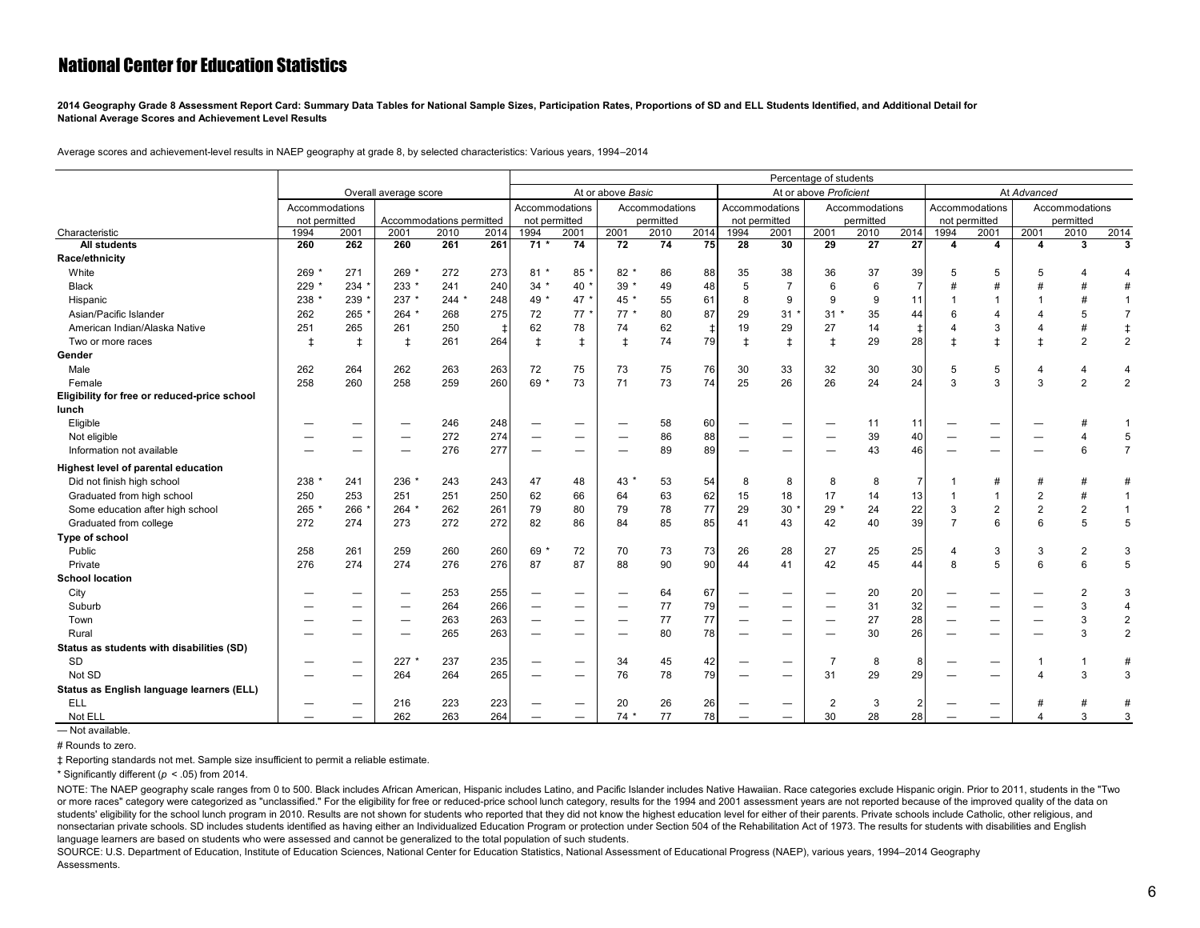<span id="page-6-0"></span>**2014 Geography Grade 8 Assessment Report Card: Summary Data Tables for National Sample Sizes, Participation Rates, Proportions of SD and ELL Students Identified, and Additional Detail for National Average Scores and Achievement Level Results**

Average scores and achievement-level results in NAEP geography at grade 8, by selected characteristics: Various years, 1994–2014

|                                              |                       |            |                          |      |                   | Percentage of students |                                                             |                 |                |                        |                                  |                                                      |                |             |                |                  |                |                  |           |                |
|----------------------------------------------|-----------------------|------------|--------------------------|------|-------------------|------------------------|-------------------------------------------------------------|-----------------|----------------|------------------------|----------------------------------|------------------------------------------------------|----------------|-------------|----------------|------------------|----------------|------------------|-----------|----------------|
|                                              | Overall average score |            |                          |      | At or above Basic |                        |                                                             |                 |                | At or above Proficient |                                  |                                                      |                | At Advanced |                |                  |                |                  |           |                |
|                                              | Accommodations        |            |                          |      |                   | Accommodations         |                                                             |                 | Accommodations |                        | Accommodations<br>Accommodations |                                                      |                |             | Accommodations |                  | Accommodations |                  |           |                |
|                                              | not permitted         |            | Accommodations permitted |      |                   | not permitted          |                                                             |                 | permitted      |                        | not permitted                    |                                                      |                | permitted   |                |                  | not permitted  |                  | permitted |                |
| Characteristic                               | 1994                  | 2001       | 2001                     | 2010 | 2014              | 1994                   | 2001                                                        | 2001            | 2010           | 2014                   | 1994                             | 2001                                                 | 2001           | 2010        | 2014           | 1994             | 2001           | 2001             | 2010      | 2014           |
| <b>All students</b>                          | 260                   | 262        | 260                      | 261  | 261               | $71*$                  | 74                                                          | $\overline{72}$ | 74             | 75                     | 28                               | 30                                                   | 29             | 27          | 27             | $\boldsymbol{4}$ | 4              | $\boldsymbol{4}$ | 3         | 3              |
| Race/ethnicity                               |                       |            |                          |      |                   |                        |                                                             |                 |                |                        |                                  |                                                      |                |             |                |                  |                |                  |           |                |
| White                                        | 269                   | 271        | 269 *                    | 272  | 273               | $81*$                  | 85                                                          | $82*$           | 86             | 88                     | 35                               | 38                                                   | 36             | 37          | 39             | 5                | 5              |                  |           |                |
| <b>Black</b>                                 | 229                   | 234        | 233 *                    | 241  | 240               | $34 *$                 | 40 <sup>1</sup>                                             | $39*$           | 49             | 48                     | 5                                | $\overline{7}$                                       | 6              | 6           |                |                  | $\overline{t}$ |                  |           |                |
| Hispanic                                     | 238                   | 239        | 237 *                    | 244  | 248               | 49 *                   | 47                                                          | 45 *            | 55             | 61                     | 8                                | 9                                                    | 9              | 9           | 11             |                  |                |                  |           |                |
| Asian/Pacific Islander                       | 262                   | 265        | $264$ *                  | 268  | 275               | 72                     | 77                                                          | $77*$           | 80             | 87                     | 29                               | 31                                                   | 31             | 35          | 44             | 6                |                |                  |           | $\overline{7}$ |
| American Indian/Alaska Native                | 251                   | 265        | 261                      | 250  | $\ddagger$        | 62                     | 78                                                          | 74              | 62             | $\ddagger$             | 19                               | 29                                                   | 27             | 14          |                |                  | 3              |                  |           | $\ddagger$     |
| Two or more races                            | $\pm$                 | $\ddagger$ | $\ddagger$               | 261  | 264               | $\ddagger$             | $\ddagger$                                                  | $\ddagger$      | 74             | 79                     | $\pm$                            | $\pm$                                                | $\pm$          | 29          | 28             | $\pm$            | $\pm$          |                  | 2         | $\overline{2}$ |
| Gender                                       |                       |            |                          |      |                   |                        |                                                             |                 |                |                        |                                  |                                                      |                |             |                |                  |                |                  |           |                |
| Male                                         | 262                   | 264        | 262                      | 263  | 263               | 72                     | 75                                                          | 73              | 75             | 76                     | 30                               | 33                                                   | 32             | 30          | 30             | 5                | 5              |                  |           | $\overline{4}$ |
| Female                                       | 258                   | 260        | 258                      | 259  | 260               | 69 *                   | 73                                                          | 71              | 73             | 74                     | 25                               | 26                                                   | 26             | 24          | 24             | 3                | 3              | 3                | 2         | $\overline{2}$ |
| Eligibility for free or reduced-price school |                       |            |                          |      |                   |                        |                                                             |                 |                |                        |                                  |                                                      |                |             |                |                  |                |                  |           |                |
| lunch                                        |                       |            |                          |      |                   |                        |                                                             |                 |                |                        |                                  |                                                      |                |             |                |                  |                |                  |           |                |
| Eligible                                     |                       |            |                          | 246  | 248               |                        | $\overbrace{\phantom{1232211}}$                             |                 | 58             | 60                     |                                  | $\qquad \qquad$                                      |                | 11          | 11             |                  |                |                  |           |                |
| Not eligible                                 |                       | —          |                          | 272  | 274               |                        |                                                             |                 | 86             | 88                     |                                  |                                                      |                | 39          | 40             |                  |                |                  |           | 5              |
| Information not available                    |                       |            |                          | 276  | 277               |                        | $\overbrace{\phantom{12322111}}$                            |                 | 89             | 89                     |                                  | $\overline{\phantom{0}}$                             |                | 43          | 46             |                  |                |                  |           | $\overline{7}$ |
| Highest level of parental education          |                       |            |                          |      |                   |                        |                                                             |                 |                |                        |                                  |                                                      |                |             |                |                  |                |                  |           |                |
| Did not finish high school                   | 238                   | 241        | 236                      | 243  | 243               | 47                     | 48                                                          | 43              | 53             | 54                     | 8                                | 8                                                    | 8              | 8           |                |                  | #              |                  |           | #              |
| Graduated from high school                   | 250                   | 253        | 251                      | 251  | 250               | 62                     | 66                                                          | 64              | 63             | 62                     | 15                               | 18                                                   | 17             | 14          | 13             |                  |                |                  |           | $\overline{1}$ |
| Some education after high school             | 265                   | 266        | 264                      | 262  | 261               | 79                     | 80                                                          | 79              | 78             | 77                     | 29                               | 30                                                   | 29             | 24          | 22             | 3                | $\overline{2}$ | $\overline{2}$   |           | $\overline{1}$ |
| Graduated from college                       | 272                   | 274        | 273                      | 272  | 272               | 82                     | 86                                                          | 84              | 85             | 85                     | 41                               | 43                                                   | 42             | 40          | 39             | $\overline{7}$   | 6              | 6                |           | 5              |
| Type of school                               |                       |            |                          |      |                   |                        |                                                             |                 |                |                        |                                  |                                                      |                |             |                |                  |                |                  |           |                |
| Public                                       | 258                   | 261        | 259                      | 260  | 260               | 69'                    | 72                                                          | 70              | 73             | 73                     | 26                               | 28                                                   | 27             | 25          | 25             | $\overline{4}$   | 3              | 3                | 2         | 3              |
| Private                                      | 276                   | 274        | 274                      | 276  | 276               | 87                     | 87                                                          | 88              | 90             | 90                     | 44                               | 41                                                   | 42             | 45          | 44             | 8                | 5              | 6                |           | 5              |
| <b>School location</b>                       |                       |            |                          |      |                   |                        |                                                             |                 |                |                        |                                  |                                                      |                |             |                |                  |                |                  |           |                |
| City                                         |                       |            |                          | 253  | 255               |                        |                                                             |                 | 64             | 67                     |                                  |                                                      |                | 20          | 20             |                  |                |                  |           | 3              |
| Suburb                                       |                       |            |                          | 264  | 266               |                        | $\overbrace{\phantom{1232211}}$                             |                 | 77             | 79                     |                                  |                                                      |                | 31          | 32             |                  |                |                  |           | $\overline{4}$ |
| Town                                         |                       | —          |                          | 263  | 263               |                        |                                                             |                 | 77             | 77                     |                                  |                                                      |                | 27          | 28             |                  |                |                  |           | $\overline{c}$ |
| Rural                                        |                       |            |                          | 265  | 263               |                        |                                                             |                 | 80             | 78                     |                                  |                                                      |                | 30          | 26             |                  |                |                  |           | $\overline{2}$ |
| Status as students with disabilities (SD)    |                       |            |                          |      |                   |                        |                                                             |                 |                |                        |                                  |                                                      |                |             |                |                  |                |                  |           |                |
| SD                                           |                       |            | 227                      | 237  | 235               |                        |                                                             | 34              | 45             | 42                     |                                  |                                                      | $\overline{7}$ | 8           | 8              |                  |                |                  |           | #              |
| Not SD                                       |                       | —          | 264                      | 264  | 265               |                        | $\overline{\phantom{m}}$<br>$\hspace{0.1mm}-\hspace{0.1mm}$ | 76              | 78             | 79                     |                                  | $\overline{\phantom{m}}$<br>$\overline{\phantom{0}}$ | 31             | 29          | 29             |                  |                |                  | р         | 3              |
| Status as English language learners (ELL)    |                       |            |                          |      |                   |                        |                                                             |                 |                |                        |                                  |                                                      |                |             |                |                  |                |                  |           |                |
| ELL                                          |                       |            | 216                      | 223  |                   |                        |                                                             |                 |                |                        |                                  |                                                      | $\overline{2}$ | 3           |                |                  |                |                  |           | #              |
|                                              |                       |            | 262                      | 263  | 223               |                        | $\overbrace{\phantom{12322111}}$                            | 20              | 26<br>77       | 26<br>78               |                                  |                                                      | 30             |             |                |                  |                |                  | 3         | 3              |
| Not ELL                                      |                       | —          |                          |      | 264               |                        |                                                             | $74*$           |                |                        |                                  |                                                      |                | 28          | 28             |                  |                |                  |           |                |

— Not available.

# Rounds to zero.

‡ Reporting standards not met. Sample size insufficient to permit a reliable estimate.

\* Significantly different (*p* < .05) from 2014.

NOTE: The NAEP geography scale ranges from 0 to 500. Black includes African American, Hispanic includes Latino, and Pacific Islander includes Native Hawaiian. Race categories exclude Hispanic origin. Prior to 2011, student or more races" category were categorized as "unclassified." For the eligibility for free or reduced-price school lunch category, results for the 1994 and 2001 assessment years are not reported because of the improved quali students' eligibility for the school lunch program in 2010. Results are not shown for students who reported that they did not know the highest education level for either of their parents. Private schools include Catholic, nonsectarian private schools. SD includes students identified as having either an Individualized Education Program or protection under Section 504 of the Rehabilitation Act of 1973. The results for students with disabiliti language learners are based on students who were assessed and cannot be generalized to the total population of such students.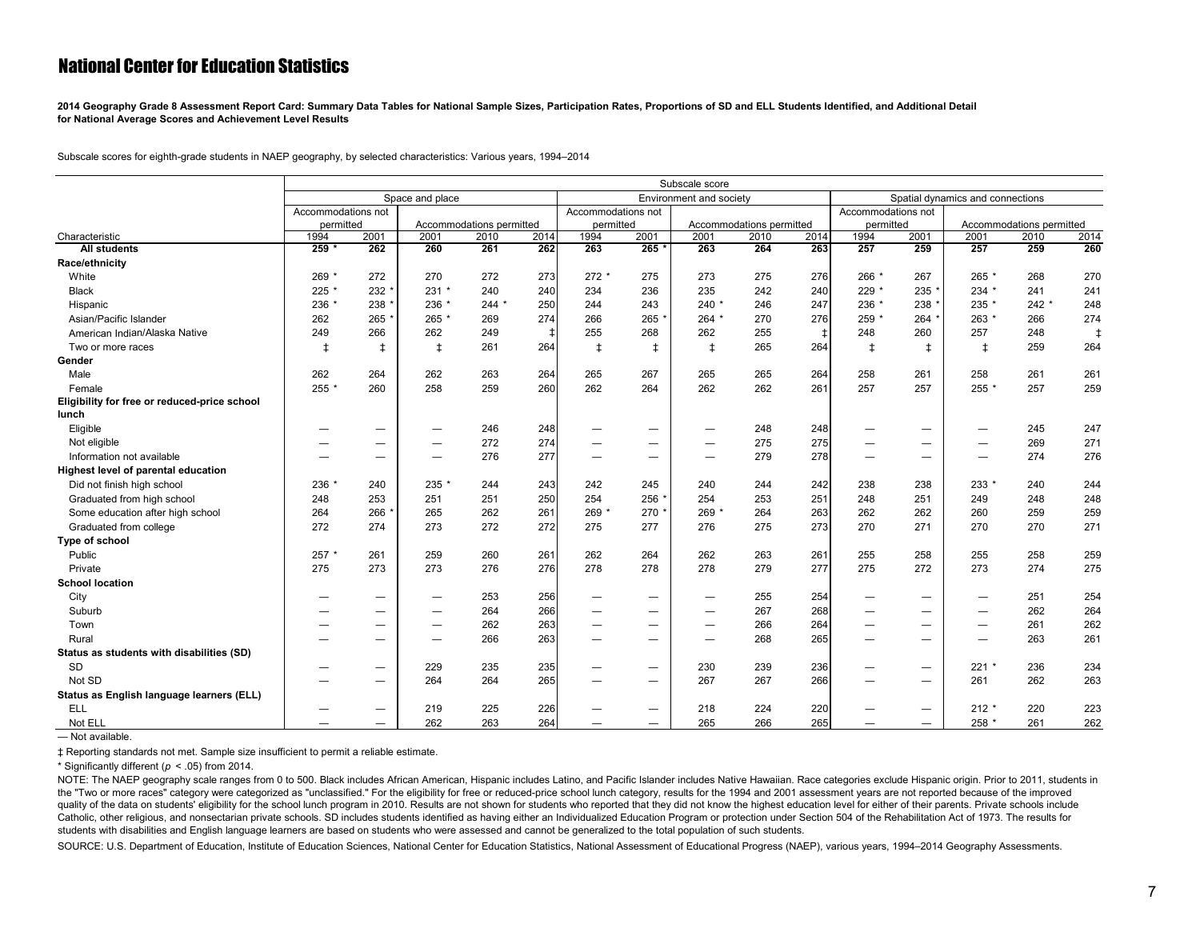<span id="page-7-0"></span>**2014 Geography Grade 8 Assessment Report Card: Summary Data Tables for National Sample Sizes, Participation Rates, Proportions of SD and ELL Students Identified, and Additional Detail for National Average Scores and Achievement Level Results**

Subscale scores for eighth-grade students in NAEP geography, by selected characteristics: Various years, 1994–2014

|                                              |                    | Subscale score                             |            |                          |       |                          |                          |                          |                          |                          |                                  |                                |                          |                          |       |
|----------------------------------------------|--------------------|--------------------------------------------|------------|--------------------------|-------|--------------------------|--------------------------|--------------------------|--------------------------|--------------------------|----------------------------------|--------------------------------|--------------------------|--------------------------|-------|
|                                              |                    | Space and place<br>Environment and society |            |                          |       |                          |                          |                          |                          |                          | Spatial dynamics and connections |                                |                          |                          |       |
|                                              | Accommodations not |                                            |            |                          |       | Accommodations not       |                          |                          |                          |                          | Accommodations not               |                                |                          |                          |       |
|                                              | permitted          |                                            |            | Accommodations permitted |       | permitted                |                          |                          | Accommodations permitted |                          | permitted                        |                                |                          | Accommodations permitted |       |
| Characteristic                               | 1994               | 2001                                       | 2001       | 2010                     | 2014  | 1994                     | 2001                     | 2001                     | 2010                     | 2014                     | 1994                             | 2001                           | 2001                     | 2010                     | 2014  |
| <b>All students</b>                          | $259 *$            | 262                                        | 260        | 261                      | 262   | 263                      | $265*$                   | 263                      | 264                      | 263                      | 257                              | 259                            | 257                      | 259                      | 260   |
| Race/ethnicity                               |                    |                                            |            |                          |       |                          |                          |                          |                          |                          |                                  |                                |                          |                          |       |
| White                                        | 269 *              | 272                                        | 270        | 272                      | 273   | $272*$                   | 275                      | 273                      | 275                      | 276                      | 266 *                            | 267                            | 265 *                    | 268                      | 270   |
| <b>Black</b>                                 | 225 *              | 232                                        | $231 *$    | 240                      | 240   | 234                      | 236                      | 235                      | 242                      | 240                      | 229 *                            | 235                            | $234 *$                  | 241                      | 241   |
| Hispanic                                     | 236 *              | 238                                        | 236 *      | $244 *$                  | 250   | 244                      | 243                      | $240$ *                  | 246                      | 247                      | 236 *                            | 238                            | 235 *                    | $242 *$                  | 248   |
| Asian/Pacific Islander                       | 262                | 265                                        | 265 *      | 269                      | 274   | 266                      | 265                      | $264$ *                  | 270                      | 276                      | 259 *                            | 264                            | 263 *                    | 266                      | 274   |
| American Indian/Alaska Native                | 249                | 266                                        | 262        | 249                      | $\pm$ | 255                      | 268                      | 262                      | 255                      | $\overline{\phantom{a}}$ | 248                              | 260                            | 257                      | 248                      | $\pm$ |
| Two or more races                            | $\ddagger$         | $\ddagger$                                 | $\ddagger$ | 261                      | 264   | $\ddagger$               | $\ddagger$               | $\ddagger$               | 265                      | 264                      | $\ddagger$                       | $\ddagger$                     | $\ddagger$               | 259                      | 264   |
| Gender                                       |                    |                                            |            |                          |       |                          |                          |                          |                          |                          |                                  |                                |                          |                          |       |
| Male                                         | 262                | 264                                        | 262        | 263                      | 264   | 265                      | 267                      | 265                      | 265                      | 264                      | 258                              | 261                            | 258                      | 261                      | 261   |
| Female                                       | 255 *              | 260                                        | 258        | 259                      | 260   | 262                      | 264                      | 262                      | 262                      | 261                      | 257                              | 257                            | 255 *                    | 257                      | 259   |
| Eligibility for free or reduced-price school |                    |                                            |            |                          |       |                          |                          |                          |                          |                          |                                  |                                |                          |                          |       |
| lunch                                        |                    |                                            |            |                          |       |                          |                          |                          |                          |                          |                                  |                                |                          |                          |       |
| Eligible                                     |                    |                                            |            | 246                      | 248   |                          | $\overline{\phantom{0}}$ | $\overline{\phantom{0}}$ | 248                      | 248                      |                                  |                                |                          | 245                      | 247   |
| Not eligible                                 |                    | $\qquad \qquad$                            |            | 272                      | 274   |                          |                          |                          | 275                      | 275                      | —                                | $\qquad \qquad$                | $\overline{\phantom{0}}$ | 269                      | 271   |
| Information not available                    |                    | $\overline{\phantom{0}}$                   |            | 276                      | 277   | $\overline{\phantom{0}}$ |                          | $\overline{\phantom{0}}$ | 279                      | 278                      | $\overline{\phantom{0}}$         | $\overline{\phantom{0}}$       | $\overline{\phantom{0}}$ | 274                      | 276   |
| Highest level of parental education          |                    |                                            |            |                          |       |                          |                          |                          |                          |                          |                                  |                                |                          |                          |       |
| Did not finish high school                   | 236 *              | 240                                        | $235$ *    | 244                      | 243   | 242                      | 245                      | 240                      | 244                      | 242                      | 238                              | 238                            | 233 *                    | 240                      | 244   |
| Graduated from high school                   | 248                | 253                                        | 251        | 251                      | 250   | 254                      | 256                      | 254                      | 253                      | 251                      | 248                              | 251                            | 249                      | 248                      | 248   |
| Some education after high school             | 264                | 266                                        | 265        | 262                      | 261   | 269 *                    | 270                      | 269 *                    | 264                      | 263                      | 262                              | 262                            | 260                      | 259                      | 259   |
| Graduated from college                       | 272                | 274                                        | 273        | 272                      | 272   | 275                      | 277                      | 276                      | 275                      | 273                      | 270                              | 271                            | 270                      | 270                      | 271   |
| Type of school                               |                    |                                            |            |                          |       |                          |                          |                          |                          |                          |                                  |                                |                          |                          |       |
| Public                                       | 257 *              | 261                                        | 259        | 260                      | 261   | 262                      | 264                      | 262                      | 263                      | 261                      | 255                              | 258                            | 255                      | 258                      | 259   |
| Private                                      | 275                | 273                                        | 273        | 276                      | 276   | 278                      | 278                      | 278                      | 279                      | 277                      | 275                              | 272                            | 273                      | 274                      | 275   |
| <b>School location</b>                       |                    |                                            |            |                          |       |                          |                          |                          |                          |                          |                                  |                                |                          |                          |       |
| City                                         |                    |                                            |            | 253                      | 256   |                          |                          |                          | 255                      | 254                      | —                                |                                | $\overline{\phantom{0}}$ | 251                      | 254   |
| Suburb                                       |                    |                                            |            | 264                      | 266   | -                        |                          |                          | 267                      | 268                      |                                  | $\qquad \qquad \longleftarrow$ |                          | 262                      | 264   |
| Town                                         |                    | $\overline{\phantom{0}}$                   |            | 262                      | 263   |                          |                          |                          | 266                      | 264                      | —                                | $\qquad \qquad$                | $\overline{\phantom{0}}$ | 261                      | 262   |
| Rural                                        |                    | $\overline{\phantom{0}}$                   |            | 266                      | 263   |                          | $\overline{\phantom{0}}$ | $\overline{\phantom{0}}$ | 268                      | 265                      |                                  | $\qquad \qquad$                | —                        | 263                      | 261   |
| Status as students with disabilities (SD)    |                    |                                            |            |                          |       |                          |                          |                          |                          |                          |                                  |                                |                          |                          |       |
| SD                                           |                    | $\qquad \qquad$                            | 229        | 235                      | 235   |                          | $\qquad \qquad -$        | 230                      | 239                      | 236                      | —                                |                                | $221 *$                  | 236                      | 234   |
| Not SD                                       |                    |                                            | 264        | 264                      | 265   |                          |                          | 267                      | 267                      | 266                      |                                  |                                | 261                      | 262                      | 263   |
| Status as English language learners (ELL)    |                    |                                            |            |                          |       |                          |                          |                          |                          |                          |                                  |                                |                          |                          |       |
| <b>ELL</b>                                   |                    |                                            | 219        | 225                      | 226   |                          |                          | 218                      | 224                      | 220                      | -                                | $\qquad \qquad$                | $212 *$                  | 220                      | 223   |
| Not ELL                                      |                    | $\overline{\phantom{0}}$                   | 262        | 263                      | 264   | —                        | $\overline{\phantom{0}}$ | 265                      | 266                      | 265                      | —                                | $\overline{\phantom{0}}$       | 258 *                    | 261                      | 262   |

— Not available.

‡ Reporting standards not met. Sample size insufficient to permit a reliable estimate.

\* Significantly different (*p* < .05) from 2014.

NOTE: The NAEP geography scale ranges from 0 to 500. Black includes African American, Hispanic includes Latino, and Pacific Islander includes Native Hawaiian. Race categories exclude Hispanic origin. Prior to 2011, student the "Two or more races" category were categorized as "unclassified." For the eligibility for free or reduced-price school lunch category, results for the 1994 and 2001 assessment years are not reported because of the impro quality of the data on students' eligibility for the school lunch program in 2010. Results are not shown for students who reported that they did not know the highest education level for either of their parents. Private sch Catholic, other religious, and nonsectarian private schools. SD includes students identified as having either an Individualized Education Program or protection under Section 504 of the Rehabilitation Act of 1973. The resul students with disabilities and English language learners are based on students who were assessed and cannot be generalized to the total population of such students.